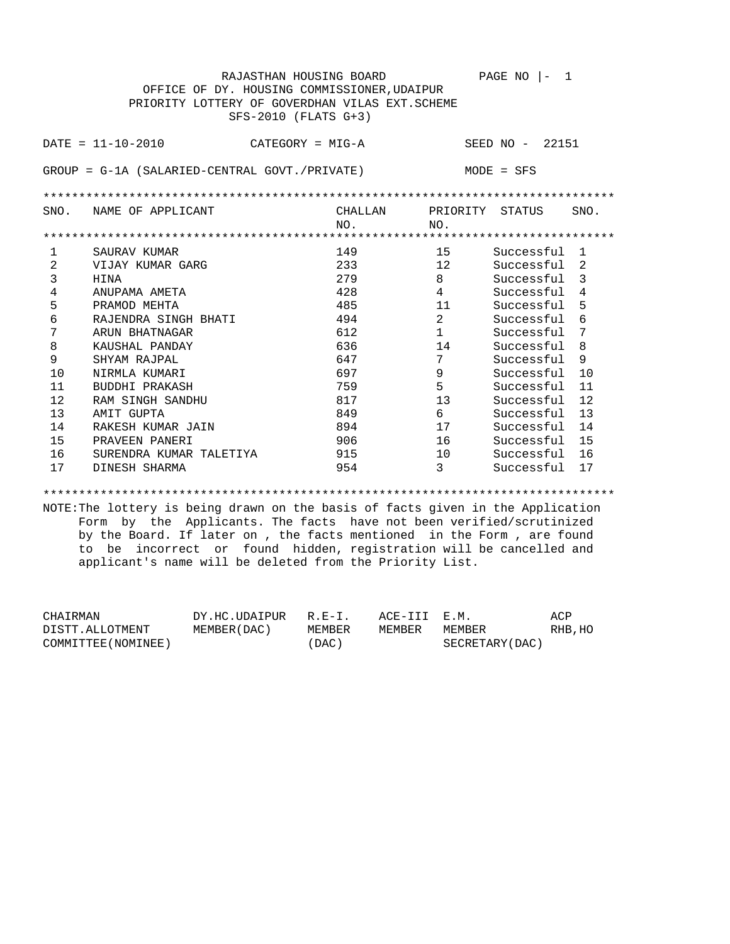RAJASTHAN HOUSING BOARD PAGE NO |- 1 OFFICE OF DY. HOUSING COMMISSIONER,UDAIPUR PRIORITY LOTTERY OF GOVERDHAN VILAS EXT.SCHEME SFS-2010 (FLATS G+3) DATE = 11-10-2010 CATEGORY = MIG-A SEED NO - 22151 GROUP = G-1A (SALARIED-CENTRAL GOVT./PRIVATE) MODE = SFS \*\*\*\*\*\*\*\*\*\*\*\*\*\*\*\*\*\*\*\*\*\*\*\*\*\*\*\*\*\*\*\*\*\*\*\*\*\*\*\*\*\*\*\*\*\*\*\*\*\*\*\*\*\*\*\*\*\*\*\*\*\*\*\*\*\*\*\*\*\*\*\*\*\*\*\*\*\*\*\* SNO. NAME OF APPLICANT CHALLAN PRIORITY STATUS SNO. NO. NO. \*\*\*\*\*\*\*\*\*\*\*\*\*\*\*\*\*\*\*\*\*\*\*\*\*\*\*\*\*\*\*\*\*\*\*\*\*\*\*\*\*\*\*\*\*\*\*\*\*\*\*\*\*\*\*\*\*\*\*\*\*\*\*\*\*\*\*\*\*\*\*\*\*\*\*\*\*\*\*\* 1 SAURAV KUMAR 149 15 Successful 1 2 VIJAY KUMAR GARG 233<br>3 HINA 279 3 HINA 279 8 Successful 3 4 ANUPAMA AMETA 428 4 Successful 4 5 PRAMOD MEHTA 485 11 Successful 5 6 RAJENDRA SINGH BHATI 494 2 Successful 6 7 ARUN BHATNAGAR 612 1 Successful 7 8 KAUSHAL PANDAY 636 14 Successful 8 9 SHYAM RAJPAL 647 7 Successful 9 10 NIRMLA KUMARI 697 9 Successful 10 11 BUDDHI PRAKASH 759 5 Successful 11 12 RAM SINGH SANDHU 817 817 13 Successful 12 13 AMIT GUPTA 849 6 Successful 13 14 RAKESH KUMAR JAIN 894 17 Successful 14 15 PRAVEEN PANERI 15 906 16 Successful 15 16 SURENDRA KUMAR TALETIYA 10 915 17 DINESH SHARMA 1954 3 Successful 17

\*\*\*\*\*\*\*\*\*\*\*\*\*\*\*\*\*\*\*\*\*\*\*\*\*\*\*\*\*\*\*\*\*\*\*\*\*\*\*\*\*\*\*\*\*\*\*\*\*\*\*\*\*\*\*\*\*\*\*\*\*\*\*\*\*\*\*\*\*\*\*\*\*\*\*\*\*\*\*\*

NOTE:The lottery is being drawn on the basis of facts given in the Application Form by the Applicants. The facts have not been verified/scrutinized by the Board. If later on , the facts mentioned in the Form , are found to be incorrect or found hidden, registration will be cancelled and applicant's name will be deleted from the Priority List.

| CHAIRMAN            | DY.HC.UDAIPUR R.E-I. |        | ACE-III E.M. |                 | ACP     |
|---------------------|----------------------|--------|--------------|-----------------|---------|
| DISTT.ALLOTMENT     | MEMBER (DAC)         | MEMBER | MEMBER       | MEMBER          | RHB, HO |
| COMMITTEE (NOMINEE) |                      | (DAC)  |              | SECRETARY (DAC) |         |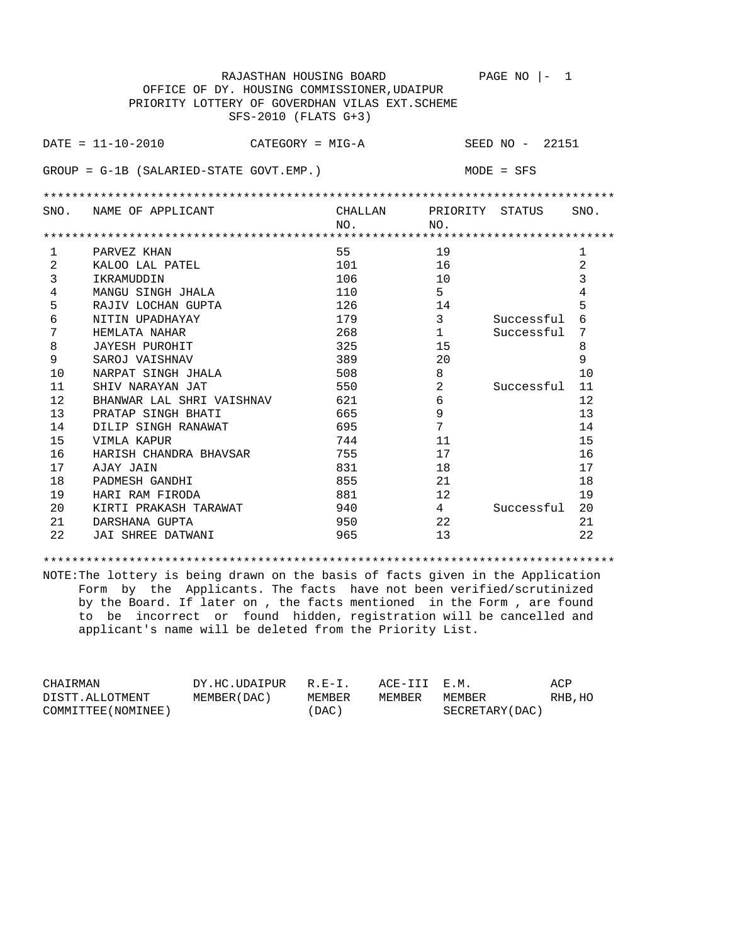|      |                                            | RAJASTHAN HOUSING BOARD                         |                | PAGE NO<br>1<br>$\mathsf{I}$ $-$ |                |
|------|--------------------------------------------|-------------------------------------------------|----------------|----------------------------------|----------------|
|      |                                            | OFFICE OF DY. HOUSING COMMISSIONER, UDAIPUR     |                |                                  |                |
|      |                                            | PRIORITY LOTTERY OF GOVERDHAN VILAS EXT. SCHEME |                |                                  |                |
|      |                                            | SFS-2010 (FLATS G+3)                            |                |                                  |                |
|      |                                            |                                                 |                |                                  |                |
|      | $DATA = 11 - 10 - 2010$                    | CATEGORY = MIG-A                                |                | SEED NO - 22151                  |                |
|      |                                            |                                                 |                |                                  |                |
|      | $GROUP = G-1B (SALARIED-STATE GOUT. EMP.)$ |                                                 |                | $MODE = SFS$                     |                |
|      |                                            |                                                 |                |                                  |                |
|      |                                            |                                                 |                |                                  |                |
| SNO. | NAME OF APPLICANT                          | CHALLAN                                         | PRIORITY       | STATUS                           | SNO.           |
|      |                                            | NO.                                             | NO.            |                                  |                |
|      |                                            |                                                 |                |                                  |                |
| 1    | PARVEZ KHAN                                | 55                                              | 19             |                                  | 1              |
| 2    | KALOO LAL PATEL                            | 101                                             | 16             |                                  | $\overline{2}$ |
| 3    | IKRAMUDDIN                                 | 106                                             | 10             |                                  | 3              |
| 4    | MANGU SINGH JHALA                          | 110                                             | 5              |                                  | 4              |
| 5    | RAJIV LOCHAN GUPTA                         | 126                                             | 14             |                                  | 5              |
| 6    | NITIN UPADHAYAY                            | 179                                             | 3              | Successful                       | 6              |
| 7    | HEMLATA NAHAR                              | 268                                             | $\mathbf{1}$   | Successful                       | 7              |
| 8    | <b>JAYESH PUROHIT</b>                      | 325                                             | 15             |                                  | 8              |
| 9    | SAROJ VAISHNAV                             | 389                                             | 20             |                                  | 9              |
| 10   | NARPAT SINGH JHALA                         | 508                                             | 8              |                                  | 10             |
| 11   | SHIV NARAYAN JAT                           | 550                                             | $\overline{2}$ | Successful                       | 11             |
| 12   | BHANWAR LAL SHRI VAISHNAV                  | 621                                             | 6              |                                  | 12             |
| 13   | PRATAP SINGH BHATI                         | 665                                             | 9              |                                  | 13             |
| 14   | DILIP SINGH RANAWAT                        | 695                                             | 7              |                                  | 14             |
| 15   | VIMLA KAPUR                                | 744                                             | 11             |                                  | 15             |
| 16   | HARISH CHANDRA BHAVSAR                     | 755                                             | 17             |                                  | 16             |
| 17   | AJAY JAIN                                  | 831                                             | 18             |                                  | 17             |
| 18   | PADMESH GANDHI                             | 855                                             | 21             |                                  | 18             |
| 19   | HARI RAM FIRODA                            | 881                                             | 12             |                                  | 19             |
| 20   | KIRTI PRAKASH TARAWAT                      | 940                                             | $\overline{4}$ | Successful                       | 20             |
| 21   | DARSHANA GUPTA                             | 950                                             | 22             |                                  | 21             |
| 22   | JAI SHREE DATWANI                          | 965                                             | 13             |                                  | 22             |

\*\*\*\*\*\*\*\*\*\*\*\*\*\*\*\*\*\*\*\*\*\*\*\*\*\*\*\*\*\*\*\*\*\*\*\*\*\*\*\*\*\*\*\*\*\*\*\*\*\*\*\*\*\*\*\*\*\*\*\*\*\*\*\*\*\*\*\*\*\*\*\*\*\*\*\*\*\*\*\* NOTE:The lottery is being drawn on the basis of facts given in the Application Form by the Applicants. The facts have not been verified/scrutinized by the Board. If later on , the facts mentioned in the Form , are found to be incorrect or found hidden, registration will be cancelled and applicant's name will be deleted from the Priority List.

| CHAIRMAN            | DY.HC.UDAIPUR R.E-I. |        | ACE-III E.M. |                 | ACP     |
|---------------------|----------------------|--------|--------------|-----------------|---------|
| DISTT.ALLOTMENT     | MEMBER (DAC)         | MEMBER | MEMBER       | MEMBER          | RHB, HO |
| COMMITTEE (NOMINEE) |                      | 'DAC)  |              | SECRETARY (DAC) |         |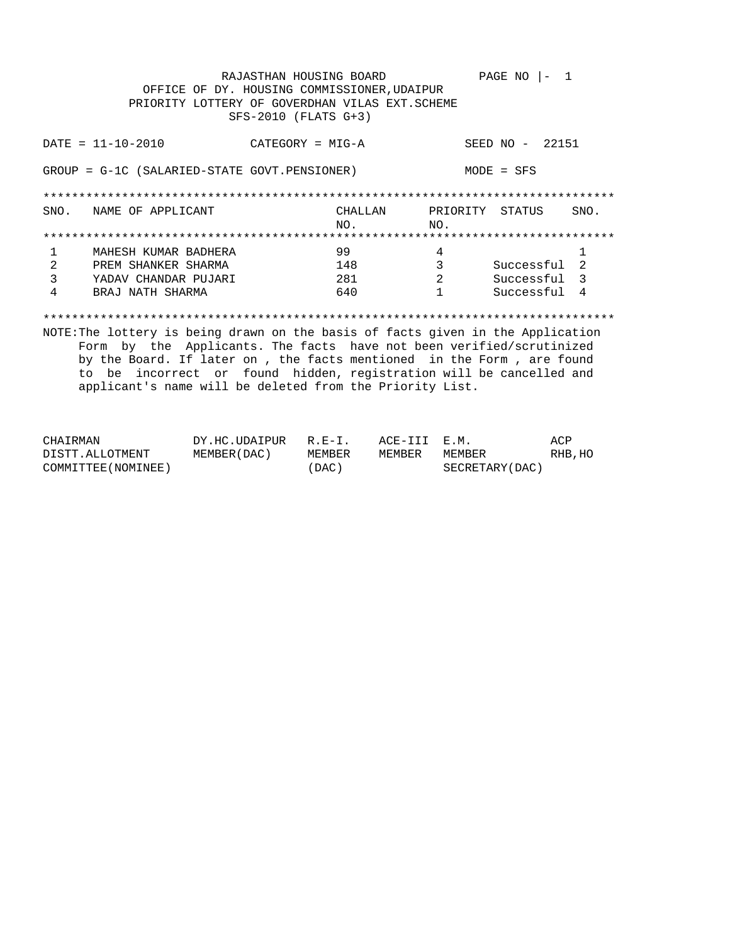|      |                                                                                 | RAJASTHAN HOUSING BOARD<br>OFFICE OF DY. HOUSING COMMISSIONER, UDAIPUR<br>PRIORITY LOTTERY OF GOVERDHAN VILAS EXT. SCHEME<br>SFS-2010 (FLATS G+3) |              | PAGE NO         | - 1            |  |  |
|------|---------------------------------------------------------------------------------|---------------------------------------------------------------------------------------------------------------------------------------------------|--------------|-----------------|----------------|--|--|
|      | $DATA = 11 - 10 - 2010$                                                         | CATEGORY = MIG-A                                                                                                                                  |              | SEED NO - 22151 |                |  |  |
|      | GROUP = G-1C (SALARIED-STATE GOVT.PENSIONER)<br>$MODE = SFS$                    |                                                                                                                                                   |              |                 |                |  |  |
|      |                                                                                 |                                                                                                                                                   |              |                 |                |  |  |
| SNO. | NAME OF APPLICANT                                                               | CHALLAN                                                                                                                                           | PRIORITY     | STATUS          | SNO.           |  |  |
|      |                                                                                 | NO.                                                                                                                                               | NO.          |                 |                |  |  |
|      |                                                                                 |                                                                                                                                                   |              |                 |                |  |  |
| 1    | MAHESH KUMAR BADHERA                                                            | 99                                                                                                                                                | 4            |                 | 1              |  |  |
| 2    | PREM SHANKER SHARMA                                                             | 148                                                                                                                                               | 3            | Successful      | $\mathfrak{D}$ |  |  |
| 3    | YADAV CHANDAR PUJARI                                                            | 281                                                                                                                                               | 2            | Successful 3    |                |  |  |
| 4    | BRAJ NATH SHARMA                                                                | 640                                                                                                                                               | $\mathbf{1}$ | Successful      | $\overline{4}$ |  |  |
|      |                                                                                 |                                                                                                                                                   |              |                 |                |  |  |
|      | NOTE: The lottery is being drawn on the basis of facts given in the Application |                                                                                                                                                   |              |                 |                |  |  |
|      | Form by the Applicants. The facts have not been verified/scrutinized            |                                                                                                                                                   |              |                 |                |  |  |
|      | by the Board. If later on, the facts mentioned in the Form, are found           |                                                                                                                                                   |              |                 |                |  |  |

applicant's name will be deleted from the Priority List.

to be incorrect or found hidden, registration will be cancelled and

| CHAIRMAN            | DY.HC.UDAIPUR R.E-I. |        | ACE-III E.M. |                 | ACP     |
|---------------------|----------------------|--------|--------------|-----------------|---------|
| DISTT.ALLOTMENT     | MEMBER (DAC )        | MEMBER | MEMBER       | MEMBER          | RHB, HO |
| COMMITTEE (NOMINEE) |                      | ´DAC ) |              | SECRETARY (DAC) |         |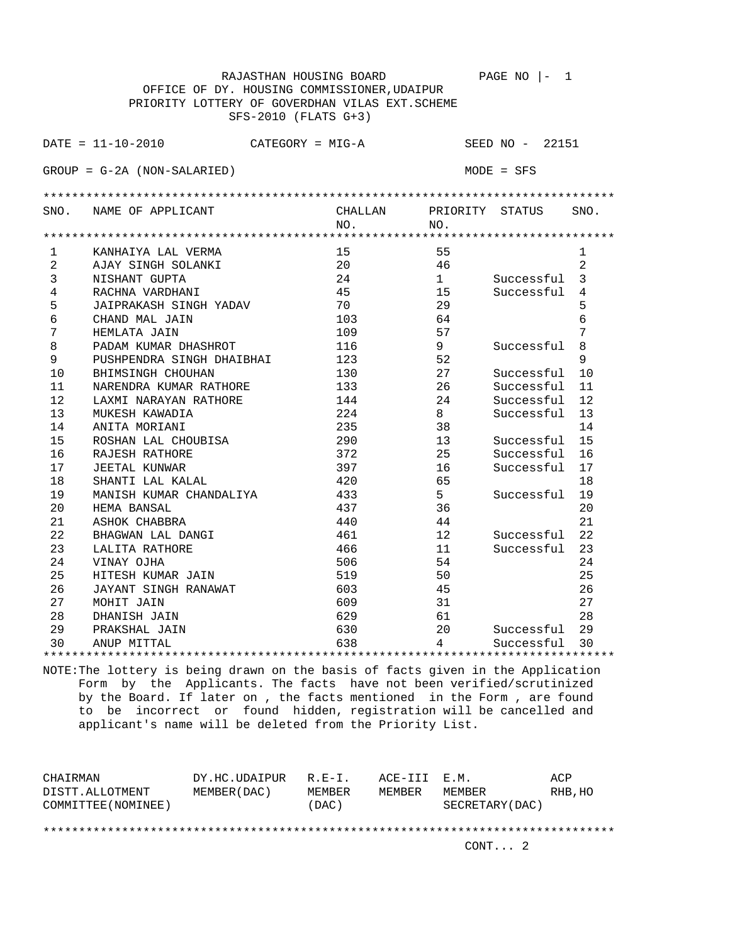|                                             | RAJASTHAN HOUSING BOARD                         |         |          | PAGE NO<br>1    |              |  |  |  |  |
|---------------------------------------------|-------------------------------------------------|---------|----------|-----------------|--------------|--|--|--|--|
| OFFICE OF DY. HOUSING COMMISSIONER, UDAIPUR |                                                 |         |          |                 |              |  |  |  |  |
|                                             | PRIORITY LOTTERY OF GOVERDHAN VILAS EXT. SCHEME |         |          |                 |              |  |  |  |  |
|                                             | SFS-2010 (FLATS G+3)                            |         |          |                 |              |  |  |  |  |
|                                             | $DATA = 11 - 10 - 2010$<br>$CATEGORY = MIG-A$   |         |          | SEED NO - 22151 |              |  |  |  |  |
|                                             | $GROUP = G-2A (NON-SALARIED)$                   |         |          | $MODE = SFS$    |              |  |  |  |  |
|                                             |                                                 |         |          |                 |              |  |  |  |  |
| SNO.                                        | NAME OF APPLICANT                               | CHALLAN | PRIORITY | STATUS          | SNO.         |  |  |  |  |
|                                             |                                                 | NO.     | NO.      |                 |              |  |  |  |  |
|                                             |                                                 |         |          |                 |              |  |  |  |  |
| $\mathbf{1}$                                | KANHAIYA LAL VERMA                              | 15      | 55       |                 | $\mathbf{1}$ |  |  |  |  |
| 2                                           | AJAY SINGH SOLANKI                              | 20      | 46       |                 | 2            |  |  |  |  |
| 3                                           | NISHANT GUPTA                                   | 24      | 1        | Successful      | 3            |  |  |  |  |
| 4                                           | RACHNA VARDHANI                                 | 45      | 15       | Successful      | 4            |  |  |  |  |
| 5                                           | JAIPRAKASH SINGH YADAV                          | 70      | 29       |                 | 5            |  |  |  |  |
| 6                                           | CHAND MAL JAIN                                  | 103     | 64       |                 | 6            |  |  |  |  |
| 7                                           | HEMLATA JAIN                                    | 109     | 57       |                 | 7            |  |  |  |  |
| 8                                           | PADAM KUMAR DHASHROT                            | 116     | 9        | Successful      | 8            |  |  |  |  |
| 9                                           | PUSHPENDRA SINGH DHAIBHAI                       | 123     | 52       |                 | 9            |  |  |  |  |
| 10                                          | BHIMSINGH CHOUHAN                               | 130     | 27       | Successful      | 10           |  |  |  |  |
| 11                                          | NARENDRA KUMAR RATHORE                          | 133     | 26       | Successful      | 11           |  |  |  |  |
| 12                                          | LAXMI NARAYAN RATHORE                           | 144     | 24       | Successful      | 12           |  |  |  |  |
| 13                                          | MUKESH KAWADIA                                  | 224     | 8        | Successful      | 13           |  |  |  |  |
| 14                                          | ANITA MORIANI                                   | 235     | 38       |                 | 14           |  |  |  |  |
| 15                                          | ROSHAN LAL CHOUBISA                             | 290     | 13       | Successful      | 15           |  |  |  |  |
| 16                                          | RAJESH RATHORE                                  | 372     | 25       | Successful      | 16           |  |  |  |  |
| 17                                          | <b>JEETAL KUNWAR</b>                            | 397     | 16       | Successful      | 17           |  |  |  |  |
| 18                                          | SHANTI LAL KALAL                                | 420     | 65       |                 | 18           |  |  |  |  |
| 19                                          | MANISH KUMAR CHANDALIYA                         | 433     | 5        | Successful      | 19           |  |  |  |  |
| 20                                          | HEMA BANSAL                                     | 437     | 36       |                 | 20           |  |  |  |  |
| 21                                          | ASHOK CHABBRA                                   | 440     | 44       |                 | 21           |  |  |  |  |
| 22                                          | BHAGWAN LAL DANGI                               | 461     | 12       | Successful      | 22           |  |  |  |  |
| 23                                          | LALITA RATHORE                                  | 466     | 11       | Successful      | 23           |  |  |  |  |
| 24                                          | VINAY OJHA                                      | 506     | 54       |                 | 24           |  |  |  |  |
| 25                                          | HITESH KUMAR JAIN                               | 519     | 50       |                 | 25           |  |  |  |  |
| 26                                          | JAYANT SINGH RANAWAT                            | 603     | 45       |                 | 26           |  |  |  |  |
| 27                                          | MOHIT JAIN                                      | 609     | 31       |                 | 27           |  |  |  |  |
| 28                                          | DHANISH JAIN                                    | 629     | 61       |                 | 28           |  |  |  |  |
| 29                                          | PRAKSHAL JAIN                                   | 630     | 20       | Successful      | 29           |  |  |  |  |
| 30                                          | ANUP MITTAL                                     | 638     | 4        | Successful      | 30           |  |  |  |  |
|                                             |                                                 |         |          |                 |              |  |  |  |  |

NOTE:The lottery is being drawn on the basis of facts given in the Application Form by the Applicants. The facts have not been verified/scrutinized by the Board. If later on , the facts mentioned in the Form , are found to be incorrect or found hidden, registration will be cancelled and applicant's name will be deleted from the Priority List.

| CHAIRMAN<br>DISTT.ALLOTMENT | DY.HC.UDAIPUR<br>MEMBER (DAC) | $R.F - T$ .<br>MEMBER | ACE-III E.M.<br>MEMBER | MEMBER          | ACP<br>RHB, HO |
|-----------------------------|-------------------------------|-----------------------|------------------------|-----------------|----------------|
| COMMITTEE (NOMINEE)         |                               | (DAC)                 |                        | SECRETARY (DAC) |                |
|                             |                               |                       |                        |                 |                |
|                             |                               |                       |                        | CONT. 2         |                |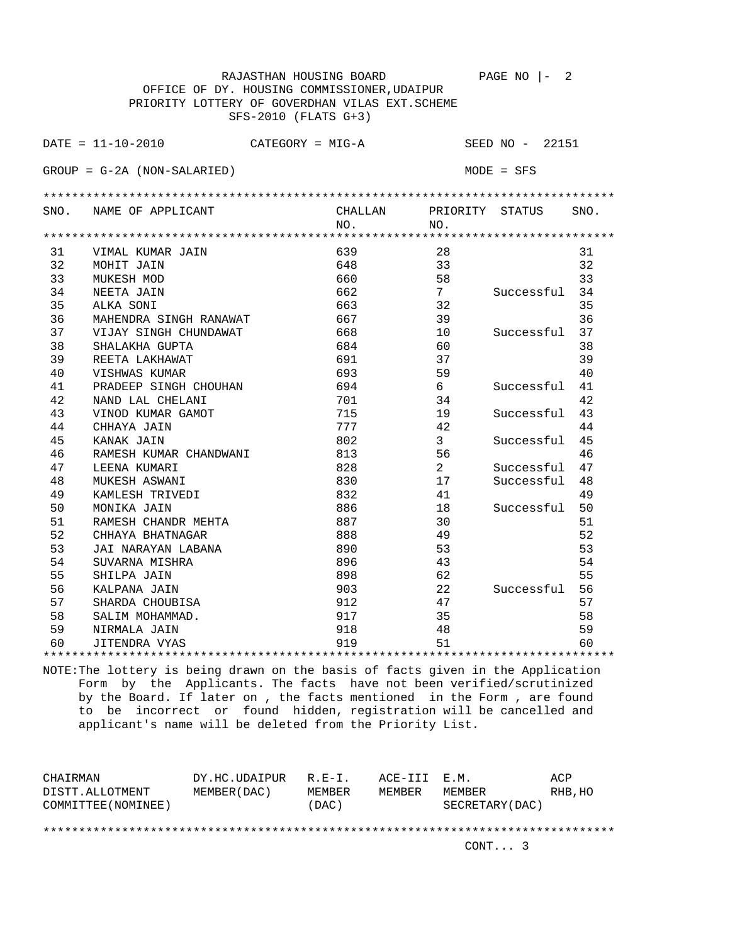|      | RAJASTHAN HOUSING BOARD                           |         |                | PAGE NO $ -$<br>2 |      |
|------|---------------------------------------------------|---------|----------------|-------------------|------|
|      | OFFICE OF DY. HOUSING COMMISSIONER, UDAIPUR       |         |                |                   |      |
|      | PRIORITY LOTTERY OF GOVERDHAN VILAS EXT. SCHEME   |         |                |                   |      |
|      | SFS-2010 (FLATS G+3)                              |         |                |                   |      |
|      |                                                   |         |                |                   |      |
|      | $\texttt{DATE} = 11 - 10 - 2010$ CATEGORY = MIG-A |         |                | SEED NO - 22151   |      |
|      | $GROUP = G-2A (NON-SALARIED)$                     |         |                | $MODE = SFS$      |      |
|      |                                                   |         |                |                   |      |
|      |                                                   |         |                |                   |      |
| SNO. | NAME OF APPLICANT                                 | CHALLAN |                | PRIORITY STATUS   | SNO. |
|      |                                                   | NO.     | NO.            |                   |      |
|      |                                                   |         |                |                   |      |
| 31   | VIMAL KUMAR JAIN                                  | 639     | 28             |                   | 31   |
| 32   | MOHIT JAIN                                        | 648     | 33             |                   | 32   |
| 33   | MUKESH MOD                                        | 660     | 58             |                   | 33   |
| 34   | NEETA JAIN                                        | 662     | 7              | Successful        | 34   |
| 35   | ALKA SONI                                         | 663     | 32             |                   | 35   |
| 36   | MAHENDRA SINGH RANAWAT                            | 667     | 39             |                   | 36   |
| 37   | VIJAY SINGH CHUNDAWAT                             | 668     | 10             | Successful        | 37   |
| 38   | SHALAKHA GUPTA                                    | 684     | 60             |                   | 38   |
| 39   | REETA LAKHAWAT                                    | 691     | 37             |                   | 39   |
| 40   | VISHWAS KUMAR                                     | 693     | 59             |                   | 40   |
| 41   | PRADEEP SINGH CHOUHAN                             | 694     | 6              | Successful        | 41   |
| 42   | NAND LAL CHELANI                                  | 701     | 34             |                   | 42   |
| 43   | VINOD KUMAR GAMOT                                 | 715     | 19             | Successful        | 43   |
| 44   | CHHAYA JAIN                                       | 777     | 42             |                   | 44   |
| 45   | KANAK JAIN                                        | 802     | $\mathbf{3}$   | Successful        | 45   |
| 46   | RAMESH KUMAR CHANDWANI                            | 813     | 56             |                   | 46   |
| 47   | LEENA KUMARI                                      | 828     | $\overline{2}$ | Successful        | 47   |
| 48   | MUKESH ASWANI                                     | 830     | 17             | Successful        | 48   |
| 49   | KAMLESH TRIVEDI                                   | 832     | 41             |                   | 49   |
| 50   | MONIKA JAIN                                       | 886     | 18             | Successful        | 50   |
| 51   | RAMESH CHANDR MEHTA                               | 887     | 30             |                   | 51   |
| 52   | CHHAYA BHATNAGAR                                  | 888     | 49             |                   | 52   |
| 53   | JAI NARAYAN LABANA                                | 890     | 53             |                   | 53   |
| 54   | SUVARNA MISHRA                                    | 896     | 43             |                   | 54   |
| 55   | SHILPA JAIN                                       | 898     | 62             |                   | 55   |
| 56   | KALPANA JAIN                                      | 903     | 22             | Successful        | 56   |
| 57   | SHARDA CHOUBISA                                   | 912     | 47             |                   | 57   |
| 58   | SALIM MOHAMMAD.                                   | 917     | 35             |                   | 58   |
| 59   | NIRMALA JAIN                                      | 918     | 48             |                   | 59   |
| 60   | JITENDRA VYAS                                     | 919     | 51             |                   | 60   |
|      |                                                   |         |                |                   |      |

NOTE:The lottery is being drawn on the basis of facts given in the Application Form by the Applicants. The facts have not been verified/scrutinized by the Board. If later on , the facts mentioned in the Form , are found to be incorrect or found hidden, registration will be cancelled and applicant's name will be deleted from the Priority List.

| CHAIRMAN<br>DISTT.ALLOTMENT<br>COMMITTEE (NOMINEE) | DY.HC.UDAIPUR<br>MEMBER (DAC ) | $R.F - T$ .<br>MEMBER<br>(DAC) | ACE-III E.M.<br><b>MEMBER</b> | MEMBER<br>SECRETARY (DAC) | ACP<br>RHB, HO |
|----------------------------------------------------|--------------------------------|--------------------------------|-------------------------------|---------------------------|----------------|
|                                                    |                                |                                |                               | CONT. 3                   |                |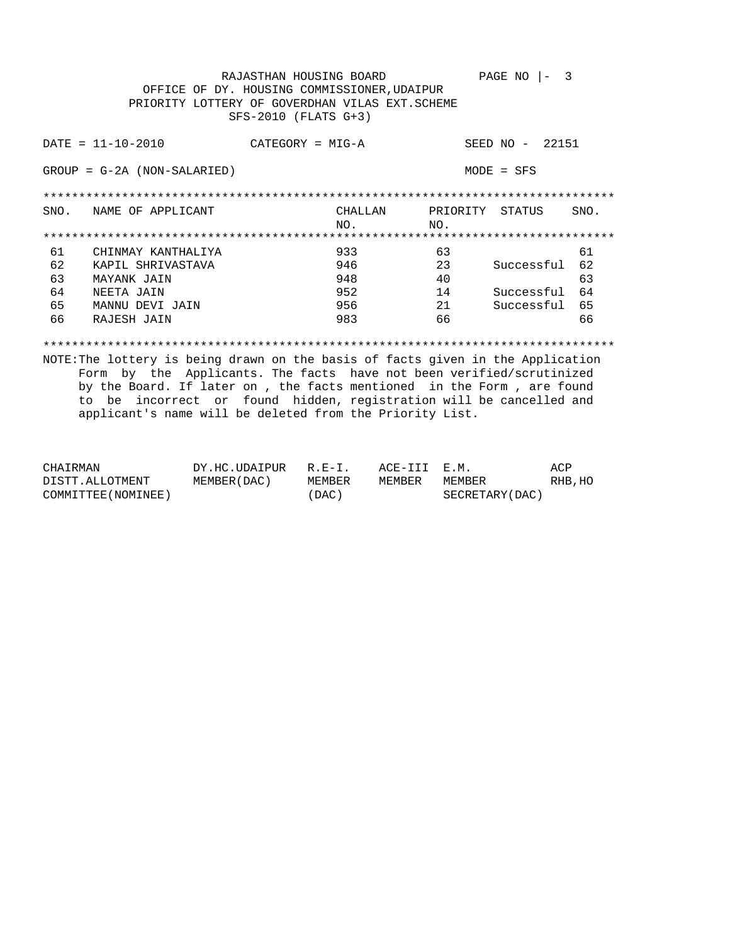RAJASTHAN HOUSING BOARD PAGE NO  $|-3$ OFFICE OF DY. HOUSING COMMISSIONER, UDAIPUR PRIORITY LOTTERY OF GOVERDHAN VILAS EXT. SCHEME SFS-2010 (FLATS G+3)  $DATA = 11 - 10 - 2010$ SEED NO - 22151 CATEGORY = MIG-A  $GROUP = G-2A (NON-SALARIED)$  $MODE = SFS$ SNO. NAME OF APPLICANT **CHALLAN** PRIORITY STATUS SNO. NO.  $NO.$ 63 61<br>23 Successful 62<br>40 63 CHINMAY KANTHALIYA 933 61 KAPIL SHRIVASTAVA 946 62 948 63 MAYANK JAIN 14 Successful 64<br>21 Successful 65 64 NEETA JAIN 952 65 MANNU DEVI JAIN 956 RAJESH JAIN 66  $66$ 983  $66$ 

NOTE: The lottery is being drawn on the basis of facts given in the Application Form by the Applicants. The facts have not been verified/scrutinized by the Board. If later on, the facts mentioned in the Form, are found to be incorrect or found hidden, registration will be cancelled and applicant's name will be deleted from the Priority List.

| CHAIRMAN            | DY.HC.UDAIPUR | $R.E-I.$ | ACE-III E.M. |                 | ACP     |
|---------------------|---------------|----------|--------------|-----------------|---------|
| DISTT.ALLOTMENT     | MEMBER (DAC ) | MEMBER   | MEMBER       | MEMBER          | RHB, HO |
| COMMITTEE (NOMINEE) |               | 'DAC)    |              | SECRETARY (DAC) |         |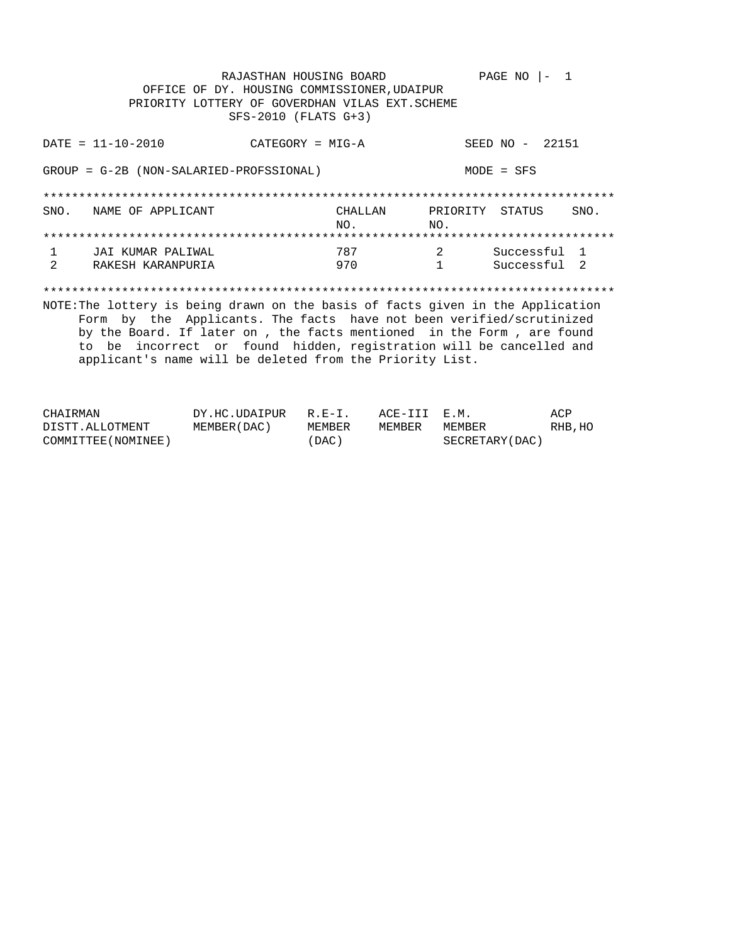RAJASTHAN HOUSING BOARD PAGE NO  $|-1$ OFFICE OF DY. HOUSING COMMISSIONER, UDAIPUR PRIORITY LOTTERY OF GOVERDHAN VILAS EXT. SCHEME SFS-2010 (FLATS G+3)  $DATA = 11 - 10 - 2010$ SEED NO - 22151  $CATEGORY = MIG-A$ GROUP = G-2B (NON-SALARIED-PROFSSIONAL)  $MODE = SFS$ SNO. NAME OF APPLICANT CHALLAN PRIORITY STATUS SNO. NO. NO.  $\begin{array}{c} 2 \\ 1 \end{array}$ Successful 1 JAI KUMAR PALIWAL 787  $\mathbf{1}$  $\overline{2}$ RAKESH KARANPURIA 970  $1$ Successful 2 NOTE: The lottery is being drawn on the basis of facts given in the Application Form by the Applicants. The facts have not been verified/scrutinized by the Board. If later on , the facts mentioned in the Form , are found to be incorrect or found hidden, registration will be cancelled and applicant's name will be deleted from the Priority List.

| CHAIRMAN            | DY.HC.UDAIPUR R.E-I. |        | ACE-III E.M. |                 | ACP     |
|---------------------|----------------------|--------|--------------|-----------------|---------|
| DISTT.ALLOTMENT     | MEMBER (DAC )        | MEMBER | MEMBER       | MEMBER          | RHB, HO |
| COMMITTEE (NOMINEE) |                      | 'DAC ) |              | SECRETARY (DAC) |         |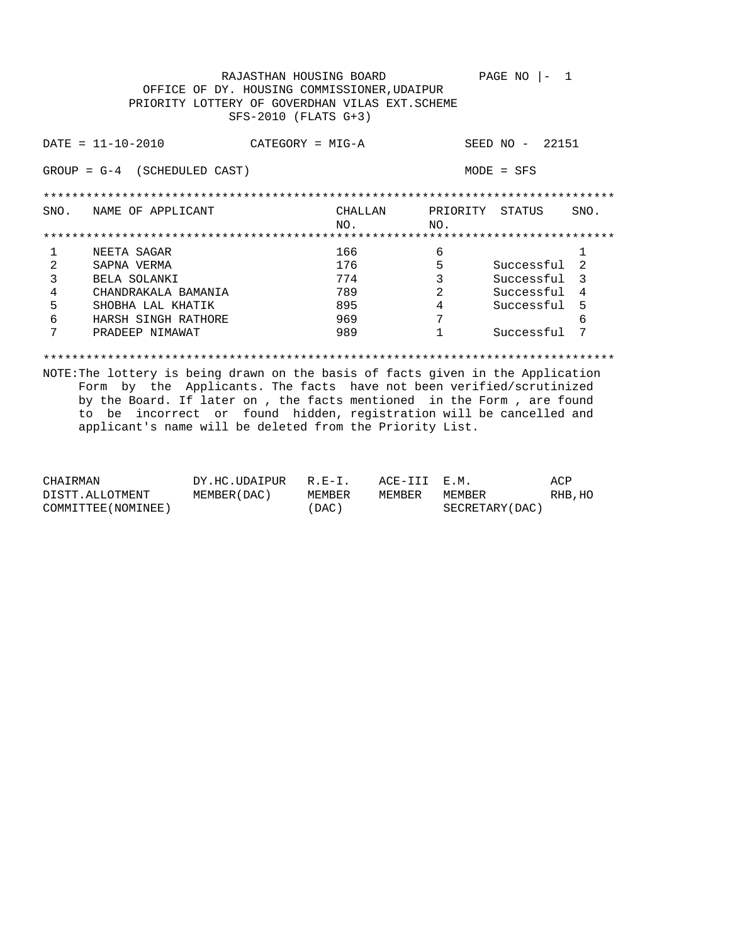RAJASTHAN HOUSING BOARD PAGE NO  $|-1$ OFFICE OF DY. HOUSING COMMISSIONER, UDAIPUR PRIORITY LOTTERY OF GOVERDHAN VILAS EXT. SCHEME SFS-2010 (FLATS G+3)  $DATA = 11 - 10 - 2010$ SEED NO - 22151 CATEGORY = MIG-A  $GROUP = G-4$  (SCHEDULED CAST)  $MODE = SFS$ CHALLAN SNO. NAME OF APPLICANT PRIORITY STATUS SNO. NO.  $NO.$ NEETA SAGAR  $\overline{6}$  $\mathbf{1}$ 166  $\mathbf{1}$ SAPNA VERMA 176  $2^{\circ}$ BELA SOLANKI 774  $3<sup>7</sup>$ 2 Successful 4<br>4 Successful 5  $\overline{4}$ CHANDRAKALA BAMANIA 789  $\overline{\mathbf{2}}$ --------<br>SHOBHA LAL KHATIK<br>HARSH SINGH RATHORE 895  $5 7\overline{ }$ 6 969  $\kappa$ PRADEEP NIMAWAT 1 Successful 7  $7\overline{ }$ 989 

NOTE: The lottery is being drawn on the basis of facts given in the Application Form by the Applicants. The facts have not been verified/scrutinized by the Board. If later on , the facts mentioned in the Form , are found to be incorrect or found hidden, registration will be cancelled and applicant's name will be deleted from the Priority List.

| CHAIRMAN            | DY.HC.UDAIPUR R.E-I. |        | ACE-III E.M. |                 | ACP     |
|---------------------|----------------------|--------|--------------|-----------------|---------|
| DISTT.ALLOTMENT     | MEMBER ( DAC )       | MEMBER | MEMBER       | MEMBER          | RHB, HC |
| COMMITTEE (NOMINEE) |                      | (DAC)  |              | SECRETARY (DAC) |         |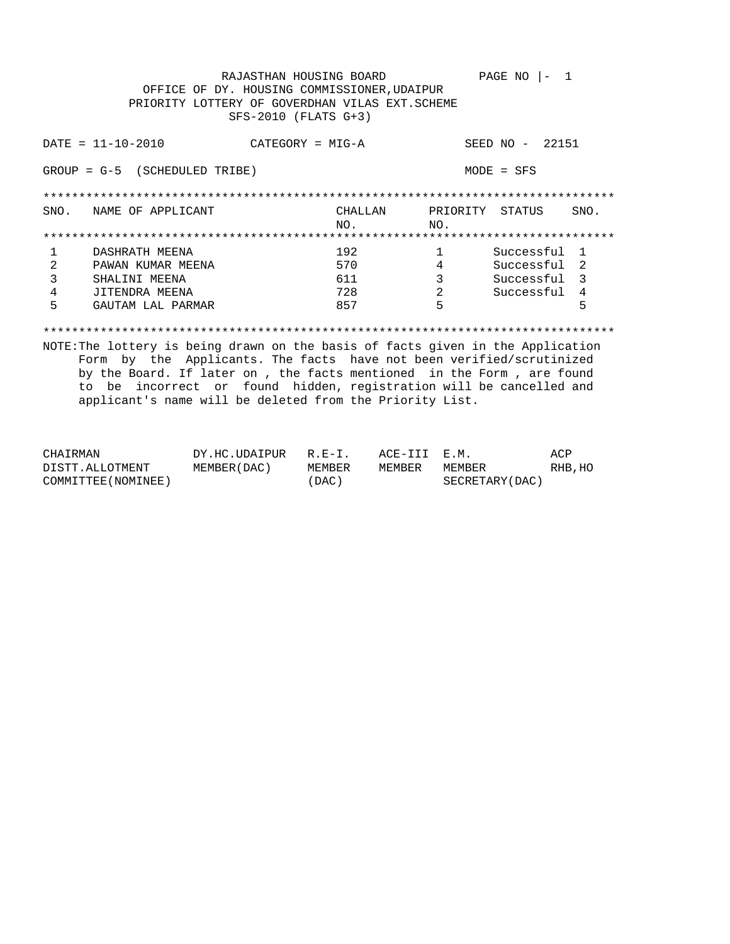RAJASTHAN HOUSING BOARD PAGE NO  $|-1$ OFFICE OF DY. HOUSING COMMISSIONER, UDAIPUR PRIORITY LOTTERY OF GOVERDHAN VILAS EXT. SCHEME SFS-2010 (FLATS G+3)  $DATA = 11 - 10 - 2010$ SEED NO - 22151  $CATEGORY = MIG-A$  $GROUP = G-5$  (SCHEDULED TRIBE)  $MODE = SFS$ SNO. NAME OF APPLICANT CHALLAN PRIORITY STATUS SNO. NO.  $NO.$ 1 Successful 1<br>4 Successful 2<br>3 Successful 3<br>2 Successful 4 DASHRATH MEENA  $\begin{array}{ccc} 192 & & 1 \\ 570 & & 4 \end{array}$  $\mathbf{1}$ PAWAN KUMAR MEENA  $2^{\circ}$ SHALINI MEENA  $\overline{\mathbf{3}}$  $3<sup>7</sup>$ 611  $\overline{4}$ JITENDRA MEENA 728  $-5$ 5  $5 -$ GAUTAM LAL PARMAR 857

NOTE: The lottery is being drawn on the basis of facts given in the Application Form by the Applicants. The facts have not been verified/scrutinized by the Board. If later on, the facts mentioned in the Form, are found to be incorrect or found hidden, registration will be cancelled and applicant's name will be deleted from the Priority List.

| CHAIRMAN            | DY.HC.UDAIPUR  | $R.E-I.$ | ACE-III E.M. |                  | ACP     |
|---------------------|----------------|----------|--------------|------------------|---------|
| DISTT.ALLOTMENT     | MEMBER ( DAC ) | MEMBER   | MEMBER       | MEMBER           | RHB, HO |
| COMMITTEE (NOMINEE) |                | DAC)     |              | SECRETARY (DAC ) |         |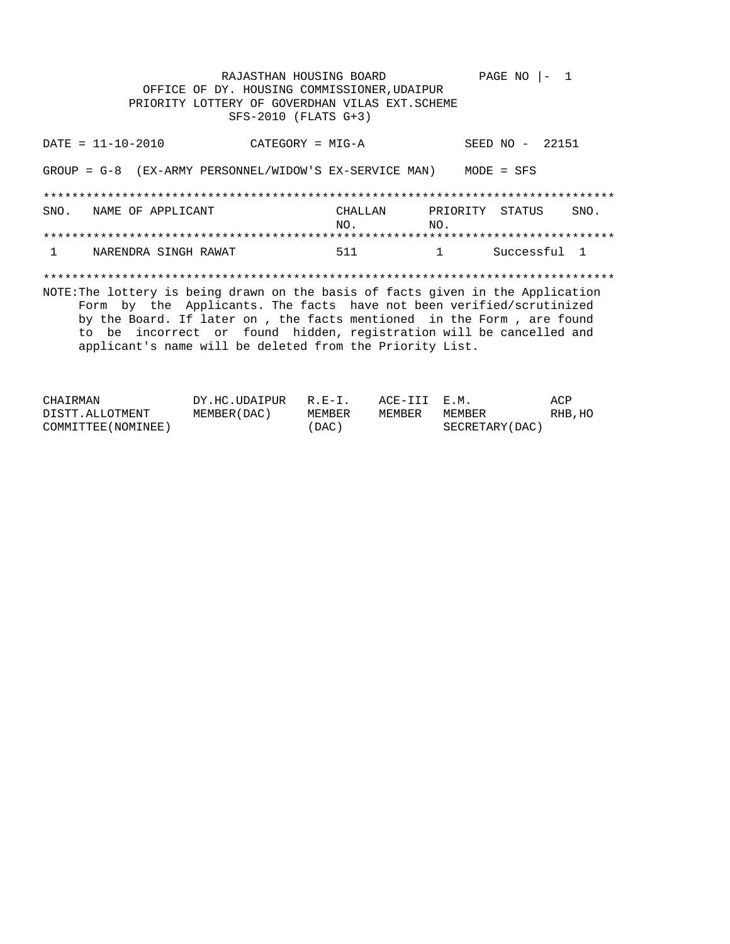RAJASTHAN HOUSING BOARD PAGE NO  $|-1$ OFFICE OF DY. HOUSING COMMISSIONER, UDAIPUR PRIORITY LOTTERY OF GOVERDHAN VILAS EXT. SCHEME SFS-2010 (FLATS G+3)  $DATA = 11 - 10 - 2010$ SEED NO - 22151  $CATEGORY = MIG-A$ GROUP =  $G-8$  (EX-ARMY PERSONNEL/WIDOW'S EX-SERVICE MAN) MODE = SFS SNO. NAME OF APPLICANT CHALLAN PRIORITY STATUS SNO. NO.  $NO.$ NARENDRA SINGH RAWAT Successful 1  $\mathbf{1}$ 511  $\mathbf{1}$ NOTE: The lottery is being drawn on the basis of facts given in the Application Form by the Applicants. The facts have not been verified/scrutinized by the Board. If later on , the facts mentioned in the Form , are found to be incorrect or found hidden, registration will be cancelled and applicant's name will be deleted from the Priority List.

| CHAIRMAN            | DY.HC.UDAIPUR | $R.E-T$ | ACE-III E.M. |                 | ACP     |
|---------------------|---------------|---------|--------------|-----------------|---------|
| DISTT.ALLOTMENT     | MEMBER (DAC ) | MEMBER  | MEMBER       | MEMBER          | RHB, HO |
| COMMITTEE (NOMINEE) |               | (DAC)   |              | SECRETARY (DAC) |         |